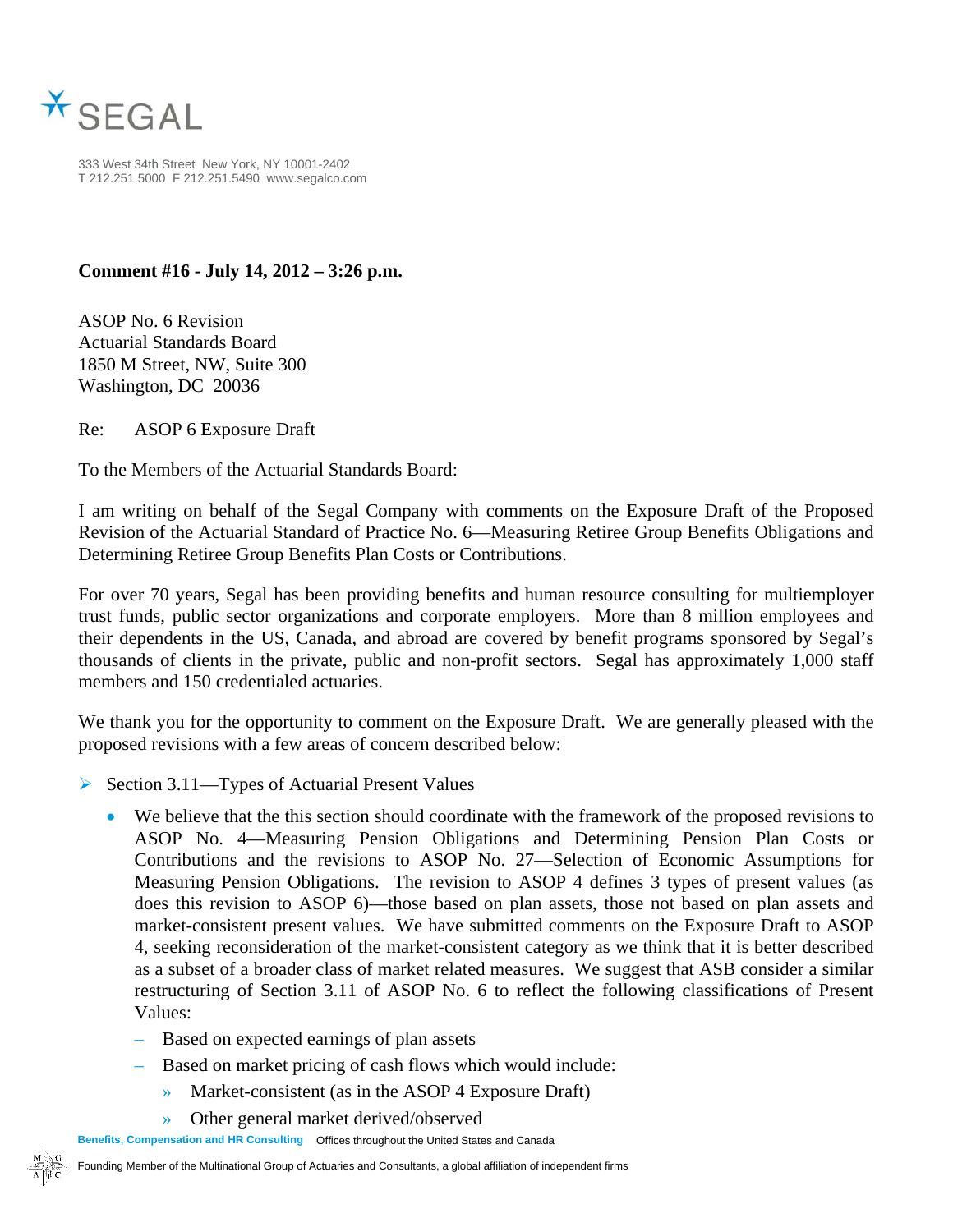

333 West 34th Street New York, NY 10001-2402 T 212.251.5000 F 212.251.5490 www.segalco.com

## **Comment #16 - July 14, 2012 – 3:26 p.m.**

ASOP No. 6 Revision Actuarial Standards Board 1850 M Street, NW, Suite 300 Washington, DC 20036

Re: ASOP 6 Exposure Draft

To the Members of the Actuarial Standards Board:

I am writing on behalf of the Segal Company with comments on the Exposure Draft of the Proposed Revision of the Actuarial Standard of Practice No. 6—Measuring Retiree Group Benefits Obligations and Determining Retiree Group Benefits Plan Costs or Contributions.

For over 70 years, Segal has been providing benefits and human resource consulting for multiemployer trust funds, public sector organizations and corporate employers. More than 8 million employees and their dependents in the US, Canada, and abroad are covered by benefit programs sponsored by Segal's thousands of clients in the private, public and non-profit sectors. Segal has approximately 1,000 staff members and 150 credentialed actuaries.

We thank you for the opportunity to comment on the Exposure Draft. We are generally pleased with the proposed revisions with a few areas of concern described below:

- ¾ Section 3.11—Types of Actuarial Present Values
	- We believe that the this section should coordinate with the framework of the proposed revisions to ASOP No. 4—Measuring Pension Obligations and Determining Pension Plan Costs or Contributions and the revisions to ASOP No. 27—Selection of Economic Assumptions for Measuring Pension Obligations. The revision to ASOP 4 defines 3 types of present values (as does this revision to ASOP 6)—those based on plan assets, those not based on plan assets and market-consistent present values. We have submitted comments on the Exposure Draft to ASOP 4, seeking reconsideration of the market-consistent category as we think that it is better described as a subset of a broader class of market related measures. We suggest that ASB consider a similar restructuring of Section 3.11 of ASOP No. 6 to reflect the following classifications of Present Values:
		- Based on expected earnings of plan assets
		- Based on market pricing of cash flows which would include:
			- » Market-consistent (as in the ASOP 4 Exposure Draft)
			- » Other general market derived/observed

**Benefits, Compensation and HR Consulting** Offices throughout the United States and Canada